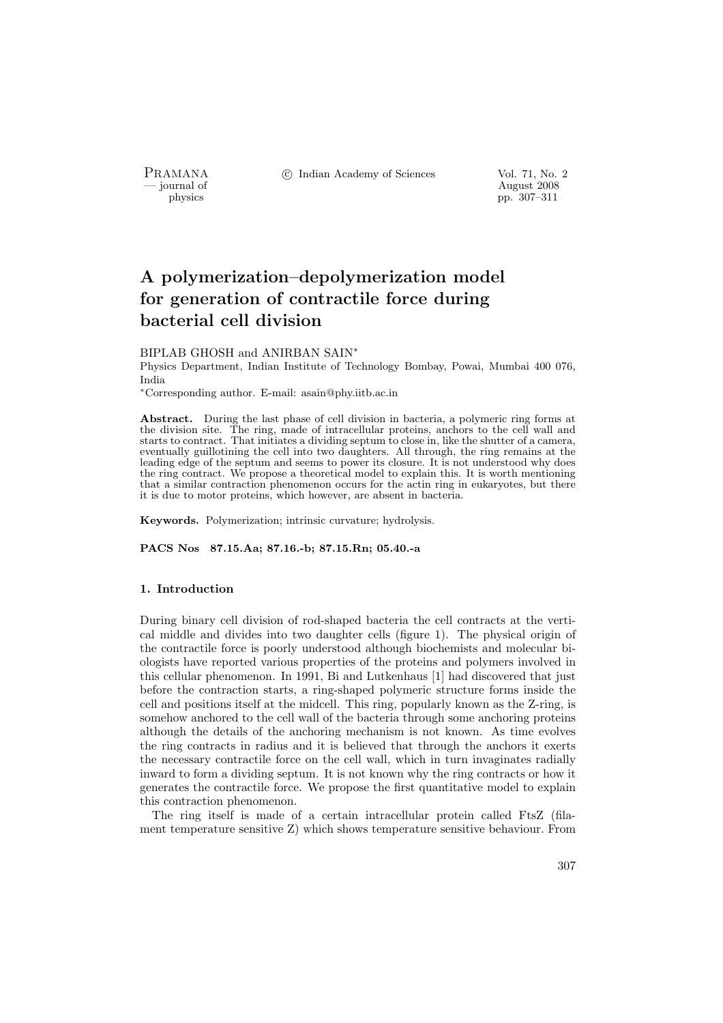PRAMANA °c Indian Academy of Sciences Vol. 71, No. 2

position of the set of the set of the set of the set of the set of the set of the set of the set of the set of the set of the set of the set of the set of the set of the set of the set of the set of the set of the set of t physics pp. 307–311

# A polymerization–depolymerization model for generation of contractile force during bacterial cell division

# BIPLAB GHOSH and ANIRBAN SAIN<sup>\*</sup>

Physics Department, Indian Institute of Technology Bombay, Powai, Mumbai 400 076, India

<sup>∗</sup>Corresponding author. E-mail: asain@phy.iitb.ac.in

Abstract. During the last phase of cell division in bacteria, a polymeric ring forms at the division site. The ring, made of intracellular proteins, anchors to the cell wall and starts to contract. That initiates a dividing septum to close in, like the shutter of a camera, eventually guillotining the cell into two daughters. All through, the ring remains at the leading edge of the septum and seems to power its closure. It is not understood why does the ring contract. We propose a theoretical model to explain this. It is worth mentioning that a similar contraction phenomenon occurs for the actin ring in eukaryotes, but there it is due to motor proteins, which however, are absent in bacteria.

Keywords. Polymerization; intrinsic curvature; hydrolysis.

PACS Nos 87.15.Aa; 87.16.-b; 87.15.Rn; 05.40.-a

#### 1. Introduction

During binary cell division of rod-shaped bacteria the cell contracts at the vertical middle and divides into two daughter cells (figure 1). The physical origin of the contractile force is poorly understood although biochemists and molecular biologists have reported various properties of the proteins and polymers involved in this cellular phenomenon. In 1991, Bi and Lutkenhaus [1] had discovered that just before the contraction starts, a ring-shaped polymeric structure forms inside the cell and positions itself at the midcell. This ring, popularly known as the Z-ring, is somehow anchored to the cell wall of the bacteria through some anchoring proteins although the details of the anchoring mechanism is not known. As time evolves the ring contracts in radius and it is believed that through the anchors it exerts the necessary contractile force on the cell wall, which in turn invaginates radially inward to form a dividing septum. It is not known why the ring contracts or how it generates the contractile force. We propose the first quantitative model to explain this contraction phenomenon.

The ring itself is made of a certain intracellular protein called FtsZ (filament temperature sensitive Z) which shows temperature sensitive behaviour. From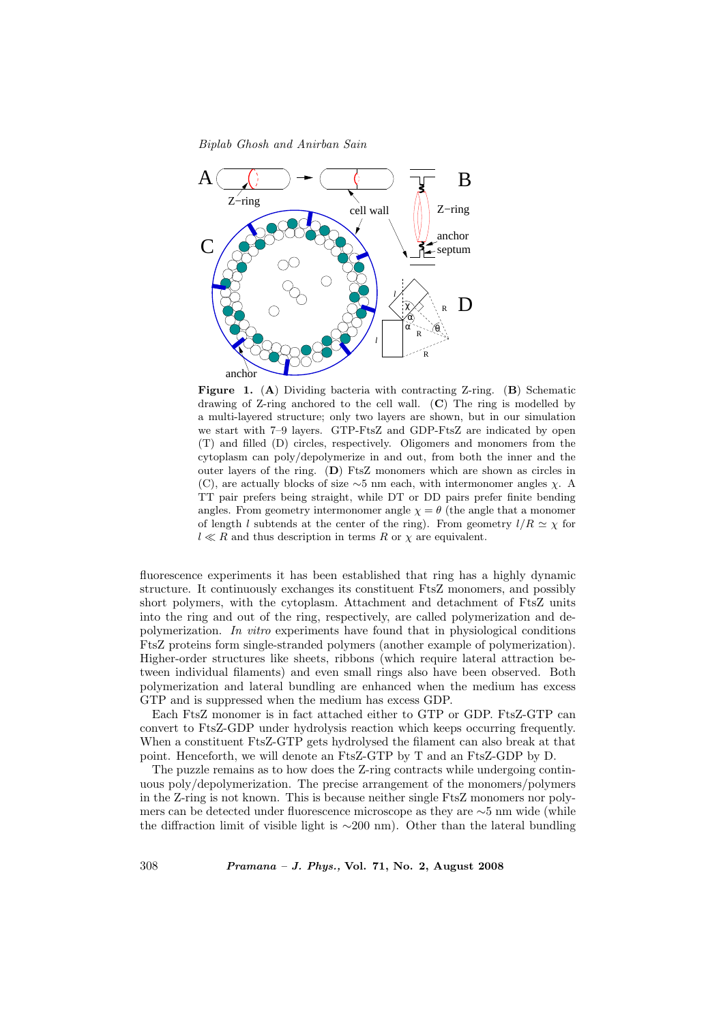Biplab Ghosh and Anirban Sain



Figure 1. (A) Dividing bacteria with contracting Z-ring. (B) Schematic drawing of Z-ring anchored to the cell wall. (C) The ring is modelled by a multi-layered structure; only two layers are shown, but in our simulation we start with 7–9 layers. GTP-FtsZ and GDP-FtsZ are indicated by open (T) and filled (D) circles, respectively. Oligomers and monomers from the cytoplasm can poly/depolymerize in and out, from both the inner and the outer layers of the ring. (D) FtsZ monomers which are shown as circles in (C), are actually blocks of size  $\sim$ 5 nm each, with intermonomer angles  $\chi$ . A TT pair prefers being straight, while DT or DD pairs prefer finite bending angles. From geometry intermonomer angle  $\chi = \theta$  (the angle that a monomer of length l subtends at the center of the ring). From geometry  $l/R \simeq \chi$  for  $l \ll R$  and thus description in terms R or  $\chi$  are equivalent.

fluorescence experiments it has been established that ring has a highly dynamic structure. It continuously exchanges its constituent FtsZ monomers, and possibly short polymers, with the cytoplasm. Attachment and detachment of FtsZ units into the ring and out of the ring, respectively, are called polymerization and depolymerization. In vitro experiments have found that in physiological conditions FtsZ proteins form single-stranded polymers (another example of polymerization). Higher-order structures like sheets, ribbons (which require lateral attraction between individual filaments) and even small rings also have been observed. Both polymerization and lateral bundling are enhanced when the medium has excess GTP and is suppressed when the medium has excess GDP.

Each FtsZ monomer is in fact attached either to GTP or GDP. FtsZ-GTP can convert to FtsZ-GDP under hydrolysis reaction which keeps occurring frequently. When a constituent FtsZ-GTP gets hydrolysed the filament can also break at that point. Henceforth, we will denote an FtsZ-GTP by T and an FtsZ-GDP by D.

The puzzle remains as to how does the Z-ring contracts while undergoing continuous poly/depolymerization. The precise arrangement of the monomers/polymers in the Z-ring is not known. This is because neither single FtsZ monomers nor polymers can be detected under fluorescence microscope as they are ∼5 nm wide (while the diffraction limit of visible light is ∼200 nm). Other than the lateral bundling

308 Pramana – J. Phys., Vol. 71, No. 2, August 2008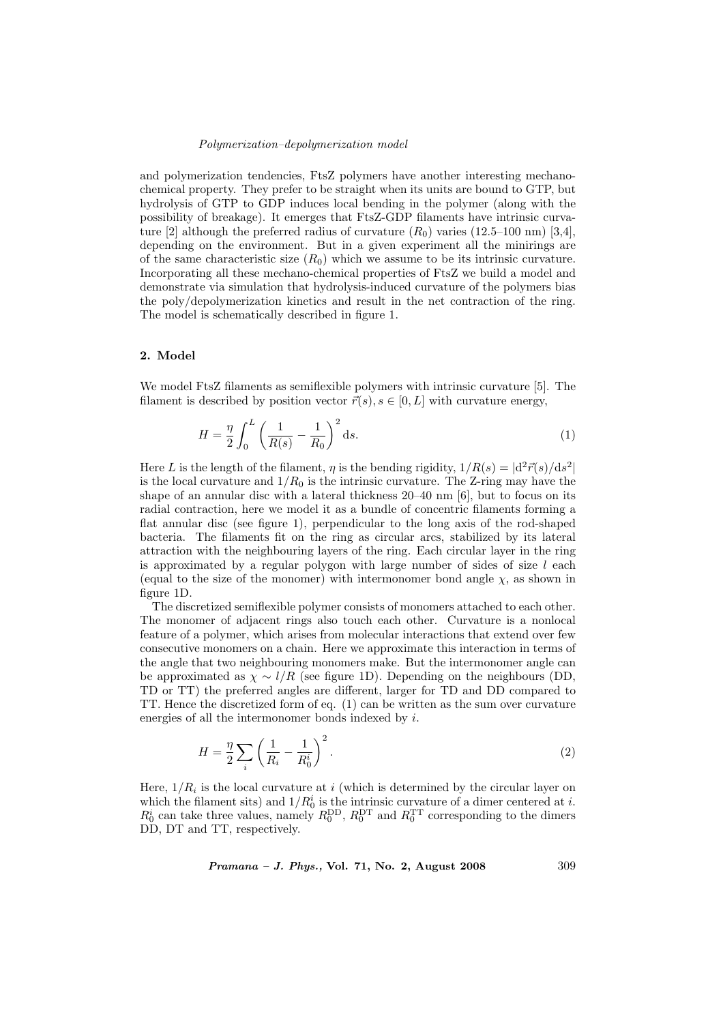#### Polymerization–depolymerization model

and polymerization tendencies, FtsZ polymers have another interesting mechanochemical property. They prefer to be straight when its units are bound to GTP, but hydrolysis of GTP to GDP induces local bending in the polymer (along with the possibility of breakage). It emerges that FtsZ-GDP filaments have intrinsic curvature [2] although the preferred radius of curvature  $(R_0)$  varies (12.5–100 nm) [3,4], depending on the environment. But in a given experiment all the minirings are of the same characteristic size  $(R_0)$  which we assume to be its intrinsic curvature. Incorporating all these mechano-chemical properties of FtsZ we build a model and demonstrate via simulation that hydrolysis-induced curvature of the polymers bias the poly/depolymerization kinetics and result in the net contraction of the ring. The model is schematically described in figure 1.

#### 2. Model

We model FtsZ filaments as semiflexible polymers with intrinsic curvature [5]. The filament is described by position vector  $\vec{r}(s), s \in [0, L]$  with curvature energy,

$$
H = \frac{\eta}{2} \int_0^L \left( \frac{1}{R(s)} - \frac{1}{R_0} \right)^2 ds.
$$
 (1)

Here L is the length of the filament,  $\eta$  is the bending rigidity,  $1/R(s) = |d^2 \vec{r}(s)/ds^2|$ is the local curvature and  $1/R_0$  is the intrinsic curvature. The Z-ring may have the shape of an annular disc with a lateral thickness 20–40 nm [6], but to focus on its radial contraction, here we model it as a bundle of concentric filaments forming a flat annular disc (see figure 1), perpendicular to the long axis of the rod-shaped bacteria. The filaments fit on the ring as circular arcs, stabilized by its lateral attraction with the neighbouring layers of the ring. Each circular layer in the ring is approximated by a regular polygon with large number of sides of size  $l$  each (equal to the size of the monomer) with intermonomer bond angle  $\chi$ , as shown in figure 1D.

The discretized semiflexible polymer consists of monomers attached to each other. The monomer of adjacent rings also touch each other. Curvature is a nonlocal feature of a polymer, which arises from molecular interactions that extend over few consecutive monomers on a chain. Here we approximate this interaction in terms of the angle that two neighbouring monomers make. But the intermonomer angle can be approximated as  $\chi \sim l/R$  (see figure 1D). Depending on the neighbours (DD, TD or TT) the preferred angles are different, larger for TD and DD compared to TT. Hence the discretized form of eq. (1) can be written as the sum over curvature energies of all the intermonomer bonds indexed by i.

$$
H = \frac{\eta}{2} \sum_{i} \left( \frac{1}{R_i} - \frac{1}{R_0^i} \right)^2.
$$
 (2)

Here,  $1/R_i$  is the local curvature at i (which is determined by the circular layer on which the filament sits) and  $1/R_0^i$  is the intrinsic curvature of a dimer centered at i.  $R_0^i$  can take three values, namely  $R_0^{\text{DD}}$ ,  $R_0^{\text{DT}}$  and  $R_0^{\text{TT}}$  corresponding to the dimers DD, DT and TT, respectively.

*Pramana – J. Phys.*, Vol. 71, No. 2, August 2008  $309$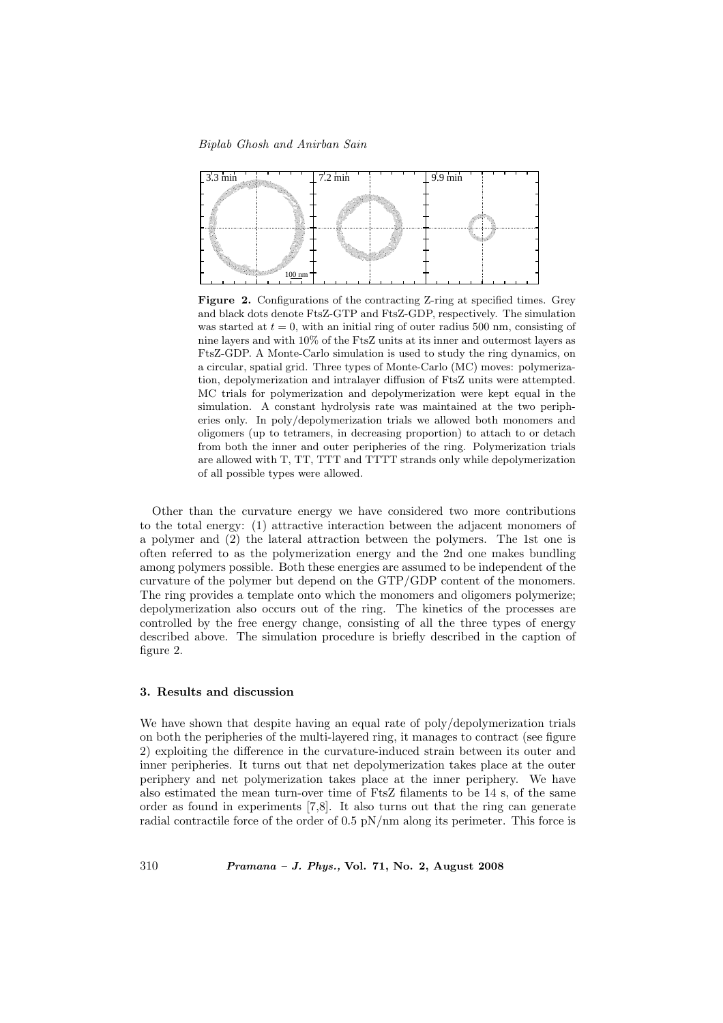### Biplab Ghosh and Anirban Sain



Figure 2. Configurations of the contracting Z-ring at specified times. Grey and black dots denote FtsZ-GTP and FtsZ-GDP, respectively. The simulation was started at  $t = 0$ , with an initial ring of outer radius 500 nm, consisting of nine layers and with 10% of the FtsZ units at its inner and outermost layers as FtsZ-GDP. A Monte-Carlo simulation is used to study the ring dynamics, on a circular, spatial grid. Three types of Monte-Carlo (MC) moves: polymerization, depolymerization and intralayer diffusion of FtsZ units were attempted. MC trials for polymerization and depolymerization were kept equal in the simulation. A constant hydrolysis rate was maintained at the two peripheries only. In poly/depolymerization trials we allowed both monomers and oligomers (up to tetramers, in decreasing proportion) to attach to or detach from both the inner and outer peripheries of the ring. Polymerization trials are allowed with T, TT, TTT and TTTT strands only while depolymerization of all possible types were allowed.

Other than the curvature energy we have considered two more contributions to the total energy: (1) attractive interaction between the adjacent monomers of a polymer and (2) the lateral attraction between the polymers. The 1st one is often referred to as the polymerization energy and the 2nd one makes bundling among polymers possible. Both these energies are assumed to be independent of the curvature of the polymer but depend on the GTP/GDP content of the monomers. The ring provides a template onto which the monomers and oligomers polymerize; depolymerization also occurs out of the ring. The kinetics of the processes are controlled by the free energy change, consisting of all the three types of energy described above. The simulation procedure is briefly described in the caption of figure 2.

#### 3. Results and discussion

We have shown that despite having an equal rate of poly/depolymerization trials on both the peripheries of the multi-layered ring, it manages to contract (see figure 2) exploiting the difference in the curvature-induced strain between its outer and inner peripheries. It turns out that net depolymerization takes place at the outer periphery and net polymerization takes place at the inner periphery. We have also estimated the mean turn-over time of FtsZ filaments to be 14 s, of the same order as found in experiments [7,8]. It also turns out that the ring can generate radial contractile force of the order of 0.5 pN/nm along its perimeter. This force is

310 Pramana – J. Phys., Vol. 71, No. 2, August 2008